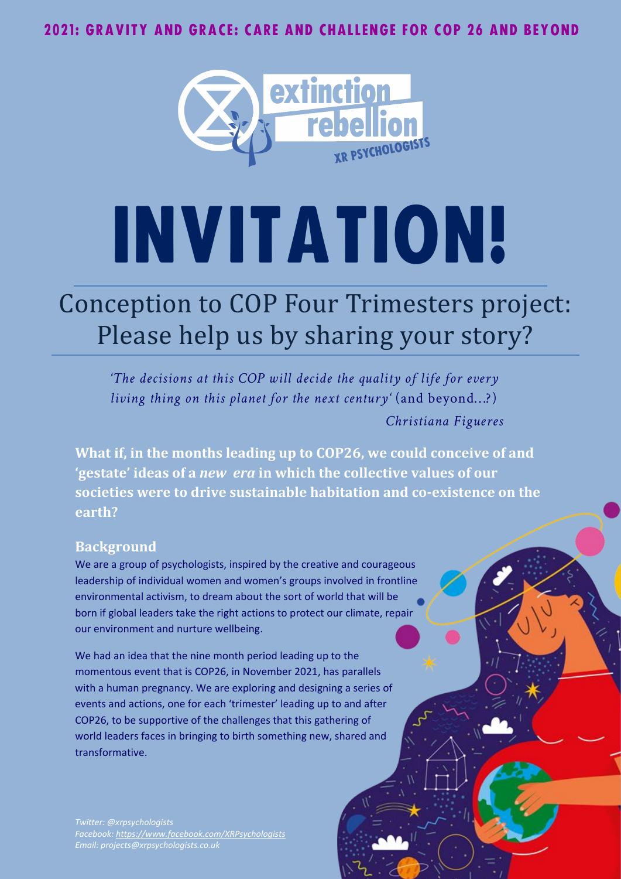

# INVITATION!

# Conception to COP Four Trimesters project: Please help us by sharing your story?

*'The decisions at this COP will decide the quality of life for every living thing on this planet for the next century'* (and beyond…?) *Christiana Figueres*

**What if, in the months leading up to COP26, we could conceive of and 'gestate' ideas of a** *new era* **in which the collective values of our societies were to drive sustainable habitation and co-existence on the earth?** 

#### **Background**

We are a group of psychologists, inspired by the creative and courageous leadership of individual women and women's groups involved in frontline environmental activism, to dream about the sort of world that will be born if global leaders take the right actions to protect our climate, repair our environment and nurture wellbeing.

We had an idea that the nine month period leading up to the momentous event that is COP26, in November 2021, has parallels with a human pregnancy. We are exploring and designing a series of events and actions, one for each 'trimester' leading up to and after COP26, to be supportive of the challenges that this gathering of world leaders faces in bringing to birth something new, shared and transformative.

*Twitter: @xrpsychologists Facebook: <https://www.facebook.com/XRPsychologists> Email: projects@xrpsychologists.co.uk*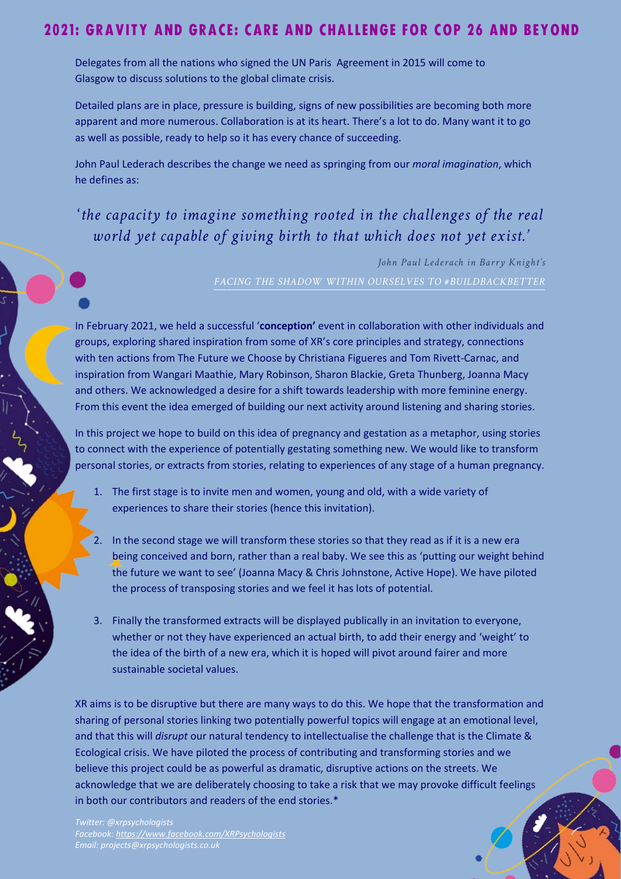Delegates from all the nations who signed the UN Paris Agreement in 2015 will come to Glasgow to discuss solutions to the global climate crisis.

Detailed plans are in place, pressure is building, signs of new possibilities are becoming both more apparent and more numerous. Collaboration is at its heart. There's a lot to do. Many want it to go as well as possible, ready to help so it has every chance of succeeding.

John Paul Lederach describes the change we need as springing from our *moral imagination*, which he defines as:

# '*the capacity to imagine something rooted in the challenges of the real world yet capable of giving birth to that which does not yet exist.'*

*John Paul Lederach in Barry Knight's* 

In February 2021, we held a successful '**conception'** event in collaboration with other individuals and groups, exploring shared inspiration from some of XR's core principles and strategy, connections with ten actions from The Future we Choose by Christiana Figueres and Tom Rivett-Carnac, and inspiration from Wangari Maathie, Mary Robinson, Sharon Blackie, Greta Thunberg, Joanna Macy and others. We acknowledged a desire for a shift towards leadership with more feminine energy. From this event the idea emerged of building our next activity around listening and sharing stories.

In this project we hope to build on this idea of pregnancy and gestation as a metaphor, using stories to connect with the experience of potentially gestating something new. We would like to transform personal stories, or extracts from stories, relating to experiences of any stage of a human pregnancy.

- 1. The first stage is to invite men and women, young and old, with a wide variety of experiences to share their stories (hence this invitation).
- In the second stage we will transform these stories so that they read as if it is a new era being conceived and born, rather than a real baby. We see this as 'putting our weight behind the future we want to see' (Joanna Macy & Chris Johnstone, Active Hope). We have piloted the process of transposing stories and we feel it has lots of potential.
- 3. Finally the transformed extracts will be displayed publically in an invitation to everyone, whether or not they have experienced an actual birth, to add their energy and 'weight' to the idea of the birth of a new era, which it is hoped will pivot around fairer and more sustainable societal values.

XR aims is to be disruptive but there are many ways to do this. We hope that the transformation and sharing of personal stories linking two potentially powerful topics will engage at an emotional level, and that this will *disrupt* our natural tendency to intellectualise the challenge that is the Climate & Ecological crisis. We have piloted the process of contributing and transforming stories and we believe this project could be as powerful as dramatic, disruptive actions on the streets. We acknowledge that we are deliberately choosing to take a risk that we may provoke difficult feelings in both our contributors and readers of the end stories.\*

*Twitter: @xrpsychologists Facebook: <https://www.facebook.com/XRPsychologists> Email: projects@xrpsychologists.co.uk*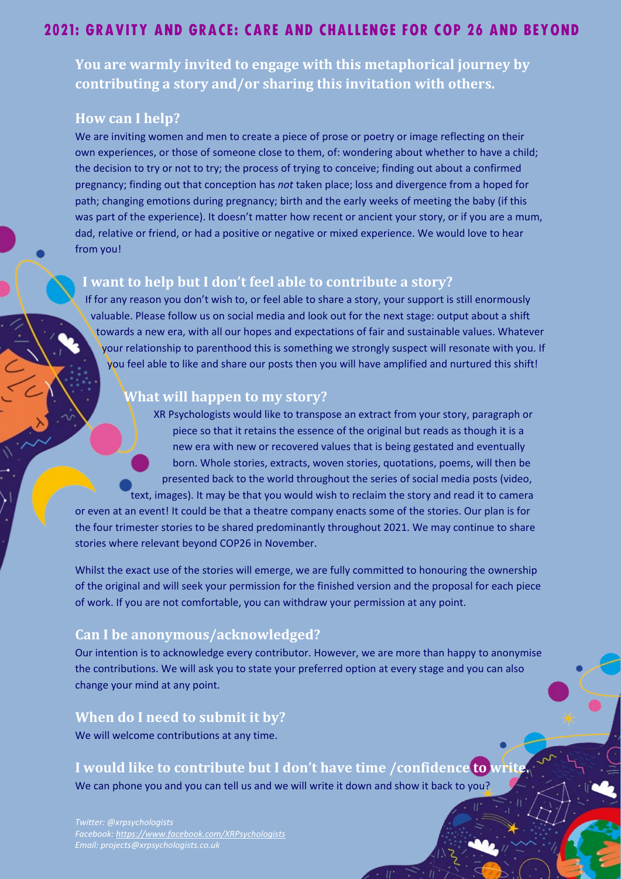**You are warmly invited to engage with this metaphorical journey by contributing a story and/or sharing this invitation with others.**

#### **How can I help?**

We are inviting women and men to create a piece of prose or poetry or image reflecting on their own experiences, or those of someone close to them, of: wondering about whether to have a child; the decision to try or not to try; the process of trying to conceive; finding out about a confirmed pregnancy; finding out that conception has *not* taken place; loss and divergence from a hoped for path; changing emotions during pregnancy; birth and the early weeks of meeting the baby (if this was part of the experience). It doesn't matter how recent or ancient your story, or if you are a mum, dad, relative or friend, or had a positive or negative or mixed experience. We would love to hear from you!

#### **I want to help but I don't feel able to contribute a story?**

If for any reason you don't wish to, or feel able to share a story, your support is still enormously valuable. Please follow us on social media and look out for the next stage: output about a shift towards a new era, with all our hopes and expectations of fair and sustainable values. Whatever your relationship to parenthood this is something we strongly suspect will resonate with you. If you feel able to like and share our posts then you will have amplified and nurtured this shift!

#### **What will happen to my story?**

XR Psychologists would like to transpose an extract from your story, paragraph or piece so that it retains the essence of the original but reads as though it is a new era with new or recovered values that is being gestated and eventually born. Whole stories, extracts, woven stories, quotations, poems, will then be presented back to the world throughout the series of social media posts (video, text, images). It may be that you would wish to reclaim the story and read it to camera or even at an event! It could be that a theatre company enacts some of the stories. Our plan is for

the four trimester stories to be shared predominantly throughout 2021. We may continue to share stories where relevant beyond COP26 in November.

Whilst the exact use of the stories will emerge, we are fully committed to honouring the ownership of the original and will seek your permission for the finished version and the proposal for each piece of work. If you are not comfortable, you can withdraw your permission at any point.

#### **Can I be anonymous/acknowledged?**

Our intention is to acknowledge every contributor. However, we are more than happy to anonymise the contributions. We will ask you to state your preferred option at every stage and you can also change your mind at any point.

#### **When do I need to submit it by?**

We will welcome contributions at any time.

#### **I would like to contribute but I don't have time /confidence to write.**

We can phone you and you can tell us and we will write it down and show it back to you?

*Twitter: @xrpsychologists Facebook: <https://www.facebook.com/XRPsychologists> Email: projects@xrpsychologists.co.uk*